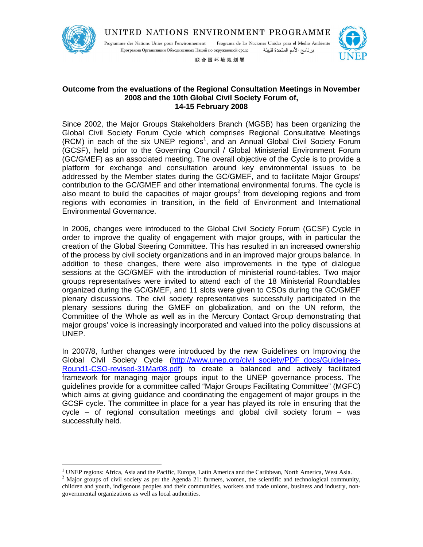

 $\overline{a}$ 

UNITED NATIONS ENVIRONMENT PROGRAMME

Programme des Nations Unies pour l'environnement Programa de las Naciones Unidas para el Medio Ambiente Программа Организации Объединенных Наций по окружающей среде برنامج الأمم المتحدة للبيئة



联合国环境规划署

# **Outcome from the evaluations of the Regional Consultation Meetings in November 2008 and the 10th Global Civil Society Forum of, 14-15 February 2008**

Since 2002, the Major Groups Stakeholders Branch (MGSB) has been organizing the Global Civil Society Forum Cycle which comprises Regional Consultative Meetings (RCM) in each of the six UNEP regions<sup>1</sup>, and an Annual Global Civil Society Forum (GCSF), held prior to the Governing Council / Global Ministerial Environment Forum (GC/GMEF) as an associated meeting. The overall objective of the Cycle is to provide a platform for exchange and consultation around key environmental issues to be addressed by the Member states during the GC/GMEF, and to facilitate Major Groups' contribution to the GC/GMEF and other international environmental forums. The cycle is also meant to build the capacities of major groups<sup>2</sup> from developing regions and from regions with economies in transition, in the field of Environment and International Environmental Governance.

In 2006, changes were introduced to the Global Civil Society Forum (GCSF) Cycle in order to improve the quality of engagement with major groups, with in particular the creation of the Global Steering Committee. This has resulted in an increased ownership of the process by civil society organizations and in an improved major groups balance. In addition to these changes, there were also improvements in the type of dialogue sessions at the GC/GMEF with the introduction of ministerial round-tables. Two major groups representatives were invited to attend each of the 18 Ministerial Roundtables organized during the GC/GMEF, and 11 slots were given to CSOs during the GC/GMEF plenary discussions. The civil society representatives successfully participated in the plenary sessions during the GMEF on globalization, and on the UN reform, the Committee of the Whole as well as in the Mercury Contact Group demonstrating that major groups' voice is increasingly incorporated and valued into the policy discussions at UNEP.

In 2007/8, further changes were introduced by the new Guidelines on Improving the Global Civil Society Cycle (http://www.unep.org/civil society/PDF docs/Guidelines-Round1-CSO-revised-31Mar08.pdf) to create a balanced and actively facilitated framework for managing major groups input to the UNEP governance process. The guidelines provide for a committee called "Major Groups Facilitating Committee" (MGFC) which aims at giving guidance and coordinating the engagement of major groups in the GCSF cycle. The committee in place for a year has played its role in ensuring that the cycle – of regional consultation meetings and global civil society forum – was successfully held.

<sup>&</sup>lt;sup>1</sup> UNEP regions: Africa, Asia and the Pacific, Europe, Latin America and the Caribbean, North America, West Asia.

<sup>&</sup>lt;sup>2</sup> Major groups of civil society as per the Agenda 21: farmers, women, the scientific and technological community, children and youth, indigenous peoples and their communities, workers and trade unions, business and industry, nongovernmental organizations as well as local authorities.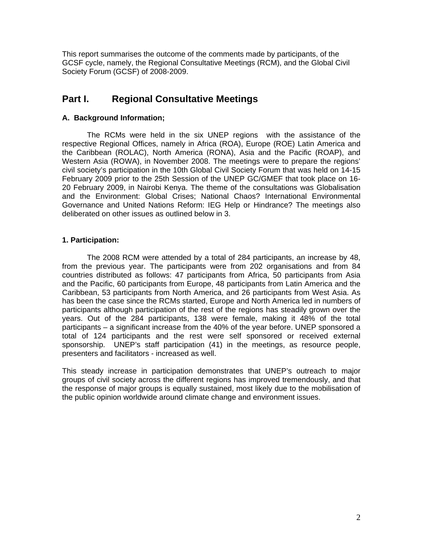This report summarises the outcome of the comments made by participants, of the GCSF cycle, namely, the Regional Consultative Meetings (RCM), and the Global Civil Society Forum (GCSF) of 2008-2009.

# **Part I. Regional Consultative Meetings**

# **A. Background Information;**

 The RCMs were held in the six UNEP regions with the assistance of the respective Regional Offices, namely in Africa (ROA), Europe (ROE) Latin America and the Caribbean (ROLAC), North America (RONA), Asia and the Pacific (ROAP), and Western Asia (ROWA), in November 2008. The meetings were to prepare the regions' civil society's participation in the 10th Global Civil Society Forum that was held on 14-15 February 2009 prior to the 25th Session of the UNEP GC/GMEF that took place on 16- 20 February 2009, in Nairobi Kenya. The theme of the consultations was Globalisation and the Environment: Global Crises; National Chaos? International Environmental Governance and United Nations Reform: IEG Help or Hindrance? The meetings also deliberated on other issues as outlined below in 3.

# **1. Participation:**

 The 2008 RCM were attended by a total of 284 participants, an increase by 48, from the previous year. The participants were from 202 organisations and from 84 countries distributed as follows: 47 participants from Africa, 50 participants from Asia and the Pacific, 60 participants from Europe, 48 participants from Latin America and the Caribbean, 53 participants from North America, and 26 participants from West Asia. As has been the case since the RCMs started, Europe and North America led in numbers of participants although participation of the rest of the regions has steadily grown over the years. Out of the 284 participants, 138 were female, making it 48% of the total participants – a significant increase from the 40% of the year before. UNEP sponsored a total of 124 participants and the rest were self sponsored or received external sponsorship. UNEP's staff participation (41) in the meetings, as resource people, presenters and facilitators - increased as well.

This steady increase in participation demonstrates that UNEP's outreach to major groups of civil society across the different regions has improved tremendously, and that the response of major groups is equally sustained, most likely due to the mobilisation of the public opinion worldwide around climate change and environment issues.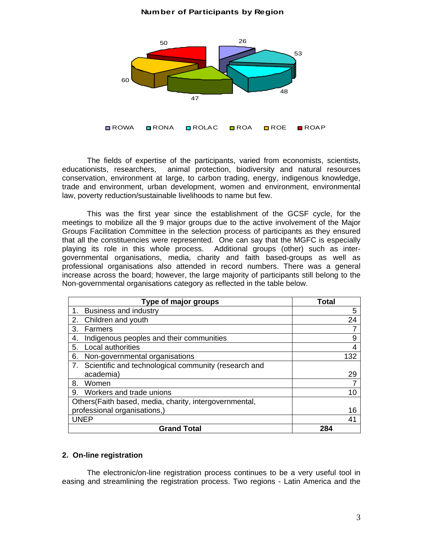#### **Number of Participants by Region**



The fields of expertise of the participants, varied from economists, scientists, educationists, researchers, animal protection, biodiversity and natural resources conservation, environment at large, to carbon trading, energy, indigenous knowledge, trade and environment, urban development, women and environment, environmental law, poverty reduction/sustainable livelihoods to name but few.

This was the first year since the establishment of the GCSF cycle, for the meetings to mobilize all the 9 major groups due to the active involvement of the Major Groups Facilitation Committee in the selection process of participants as they ensured that all the constituencies were represented. One can say that the MGFC is especially playing its role in this whole process. Additional groups (other) such as intergovernmental organisations, media, charity and faith based-groups as well as professional organisations also attended in record numbers. There was a general increase across the board; however, the large majority of participants still belong to the Non-governmental organisations category as reflected in the table below.

| Type of major groups                                       | Total |
|------------------------------------------------------------|-------|
| 1.<br><b>Business and industry</b>                         | 5     |
| Children and youth<br>2.                                   | 24    |
| 3.<br>Farmers                                              |       |
| Indigenous peoples and their communities<br>4.             | 9     |
| Local authorities<br>5.                                    | 4     |
| Non-governmental organisations<br>6.                       | 132   |
| Scientific and technological community (research and<br>7. |       |
| academia)                                                  | 29    |
| 8.<br>Women                                                |       |
| Workers and trade unions<br>9.                             |       |
| Others (Faith based, media, charity, intergovernmental,    |       |
| professional organisations,)                               | 16    |
| UNEP                                                       | 41    |
| <b>Grand Total</b>                                         | 284   |

#### **2. On-line registration**

The electronic/on-line registration process continues to be a very useful tool in easing and streamlining the registration process. Two regions - Latin America and the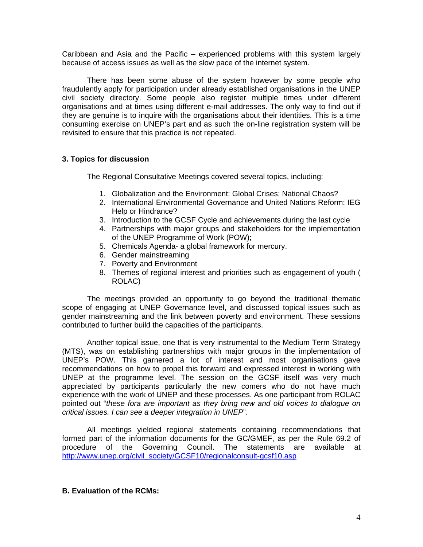Caribbean and Asia and the Pacific – experienced problems with this system largely because of access issues as well as the slow pace of the internet system.

There has been some abuse of the system however by some people who fraudulently apply for participation under already established organisations in the UNEP civil society directory. Some people also register multiple times under different organisations and at times using different e-mail addresses. The only way to find out if they are genuine is to inquire with the organisations about their identities. This is a time consuming exercise on UNEP's part and as such the on-line registration system will be revisited to ensure that this practice is not repeated.

#### **3. Topics for discussion**

The Regional Consultative Meetings covered several topics, including:

- 1. Globalization and the Environment: Global Crises; National Chaos?
- 2. International Environmental Governance and United Nations Reform: IEG Help or Hindrance?
- 3. Introduction to the GCSF Cycle and achievements during the last cycle
- 4. Partnerships with major groups and stakeholders for the implementation of the UNEP Programme of Work (POW);
- 5. Chemicals Agenda- a global framework for mercury.
- 6. Gender mainstreaming
- 7. Poverty and Environment
- 8. Themes of regional interest and priorities such as engagement of youth ( ROLAC)

The meetings provided an opportunity to go beyond the traditional thematic scope of engaging at UNEP Governance level, and discussed topical issues such as gender mainstreaming and the link between poverty and environment. These sessions contributed to further build the capacities of the participants.

Another topical issue, one that is very instrumental to the Medium Term Strategy (MTS), was on establishing partnerships with major groups in the implementation of UNEP's POW. This garnered a lot of interest and most organisations gave recommendations on how to propel this forward and expressed interest in working with UNEP at the programme level. The session on the GCSF itself was very much appreciated by participants particularly the new comers who do not have much experience with the work of UNEP and these processes. As one participant from ROLAC pointed out "*these fora are important as they bring new and old voices to dialogue on critical issues. I can see a deeper integration in UNEP*".

All meetings yielded regional statements containing recommendations that formed part of the information documents for the GC/GMEF, as per the Rule 69.2 of procedure of the Governing Council. The statements are available at http://www.unep.org/civil\_society/GCSF10/regionalconsult-gcsf10.asp

#### **B. Evaluation of the RCMs:**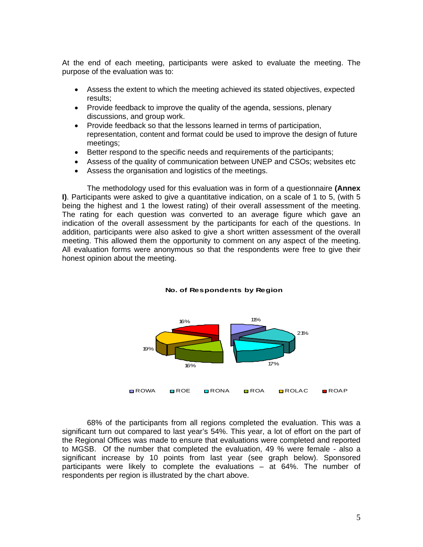At the end of each meeting, participants were asked to evaluate the meeting. The purpose of the evaluation was to:

- Assess the extent to which the meeting achieved its stated objectives, expected results;
- Provide feedback to improve the quality of the agenda, sessions, plenary discussions, and group work.
- Provide feedback so that the lessons learned in terms of participation, representation, content and format could be used to improve the design of future meetings;
- Better respond to the specific needs and requirements of the participants;
- Assess of the quality of communication between UNEP and CSOs; websites etc
- Assess the organisation and logistics of the meetings.

The methodology used for this evaluation was in form of a questionnaire **(Annex I)**. Participants were asked to give a quantitative indication, on a scale of 1 to 5, (with 5 being the highest and 1 the lowest rating) of their overall assessment of the meeting. The rating for each question was converted to an average figure which gave an indication of the overall assessment by the participants for each of the questions. In addition, participants were also asked to give a short written assessment of the overall meeting. This allowed them the opportunity to comment on any aspect of the meeting. All evaluation forms were anonymous so that the respondents were free to give their honest opinion about the meeting.



#### **No. of Respondents by Region**

68% of the participants from all regions completed the evaluation. This was a significant turn out compared to last year's 54%. This year, a lot of effort on the part of the Regional Offices was made to ensure that evaluations were completed and reported to MGSB. Of the number that completed the evaluation, 49 % were female - also a significant increase by 10 points from last year (see graph below). Sponsored participants were likely to complete the evaluations – at 64%. The number of respondents per region is illustrated by the chart above.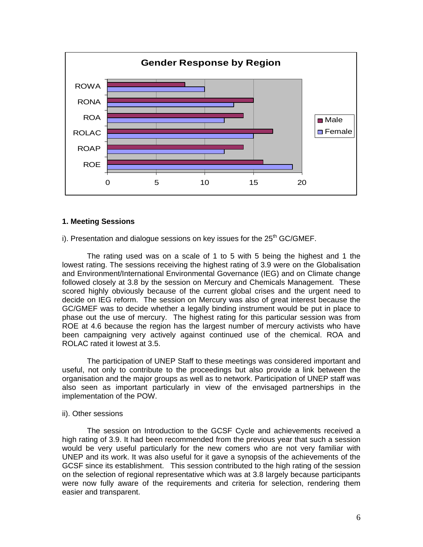

#### **1. Meeting Sessions**

i). Presentation and dialogue sessions on key issues for the  $25<sup>th</sup>$  GC/GMEF.

The rating used was on a scale of 1 to 5 with 5 being the highest and 1 the lowest rating. The sessions receiving the highest rating of 3.9 were on the Globalisation and Environment/International Environmental Governance (IEG) and on Climate change followed closely at 3.8 by the session on Mercury and Chemicals Management. These scored highly obviously because of the current global crises and the urgent need to decide on IEG reform. The session on Mercury was also of great interest because the GC/GMEF was to decide whether a legally binding instrument would be put in place to phase out the use of mercury. The highest rating for this particular session was from ROE at 4.6 because the region has the largest number of mercury activists who have been campaigning very actively against continued use of the chemical. ROA and ROLAC rated it lowest at 3.5.

The participation of UNEP Staff to these meetings was considered important and useful, not only to contribute to the proceedings but also provide a link between the organisation and the major groups as well as to network. Participation of UNEP staff was also seen as important particularly in view of the envisaged partnerships in the implementation of the POW.

#### ii). Other sessions

 The session on Introduction to the GCSF Cycle and achievements received a high rating of 3.9. It had been recommended from the previous year that such a session would be very useful particularly for the new comers who are not very familiar with UNEP and its work. It was also useful for it gave a synopsis of the achievements of the GCSF since its establishment. This session contributed to the high rating of the session on the selection of regional representative which was at 3.8 largely because participants were now fully aware of the requirements and criteria for selection, rendering them easier and transparent.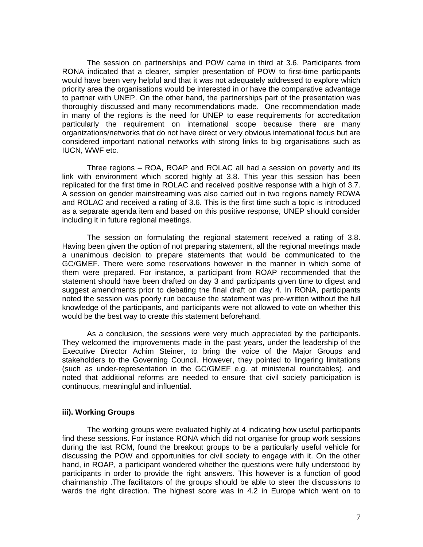The session on partnerships and POW came in third at 3.6. Participants from RONA indicated that a clearer, simpler presentation of POW to first-time participants would have been very helpful and that it was not adequately addressed to explore which priority area the organisations would be interested in or have the comparative advantage to partner with UNEP. On the other hand, the partnerships part of the presentation was thoroughly discussed and many recommendations made. One recommendation made in many of the regions is the need for UNEP to ease requirements for accreditation particularly the requirement on international scope because there are many organizations/networks that do not have direct or very obvious international focus but are considered important national networks with strong links to big organisations such as IUCN, WWF etc.

Three regions – ROA, ROAP and ROLAC all had a session on poverty and its link with environment which scored highly at 3.8. This year this session has been replicated for the first time in ROLAC and received positive response with a high of 3.7. A session on gender mainstreaming was also carried out in two regions namely ROWA and ROLAC and received a rating of 3.6. This is the first time such a topic is introduced as a separate agenda item and based on this positive response, UNEP should consider including it in future regional meetings.

The session on formulating the regional statement received a rating of 3.8. Having been given the option of not preparing statement, all the regional meetings made a unanimous decision to prepare statements that would be communicated to the GC/GMEF. There were some reservations however in the manner in which some of them were prepared. For instance, a participant from ROAP recommended that the statement should have been drafted on day 3 and participants given time to digest and suggest amendments prior to debating the final draft on day 4. In RONA, participants noted the session was poorly run because the statement was pre-written without the full knowledge of the participants, and participants were not allowed to vote on whether this would be the best way to create this statement beforehand.

 As a conclusion, the sessions were very much appreciated by the participants. They welcomed the improvements made in the past years, under the leadership of the Executive Director Achim Steiner, to bring the voice of the Major Groups and stakeholders to the Governing Council. However, they pointed to lingering limitations (such as under-representation in the GC/GMEF e.g. at ministerial roundtables), and noted that additional reforms are needed to ensure that civil society participation is continuous, meaningful and influential.

#### **iii). Working Groups**

The working groups were evaluated highly at 4 indicating how useful participants find these sessions. For instance RONA which did not organise for group work sessions during the last RCM, found the breakout groups to be a particularly useful vehicle for discussing the POW and opportunities for civil society to engage with it. On the other hand, in ROAP, a participant wondered whether the questions were fully understood by participants in order to provide the right answers. This however is a function of good chairmanship .The facilitators of the groups should be able to steer the discussions to wards the right direction. The highest score was in 4.2 in Europe which went on to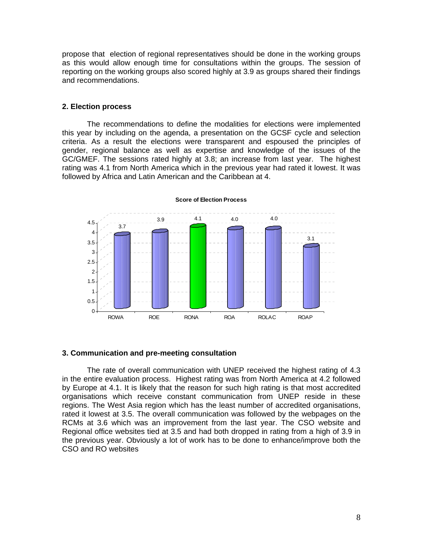propose that election of regional representatives should be done in the working groups as this would allow enough time for consultations within the groups. The session of reporting on the working groups also scored highly at 3.9 as groups shared their findings and recommendations.

#### **2. Election process**

The recommendations to define the modalities for elections were implemented this year by including on the agenda, a presentation on the GCSF cycle and selection criteria. As a result the elections were transparent and espoused the principles of gender, regional balance as well as expertise and knowledge of the issues of the GC/GMEF. The sessions rated highly at 3.8; an increase from last year. The highest rating was 4.1 from North America which in the previous year had rated it lowest. It was followed by Africa and Latin American and the Caribbean at 4.



**Score of Election Process**

#### **3. Communication and pre-meeting consultation**

The rate of overall communication with UNEP received the highest rating of 4.3 in the entire evaluation process. Highest rating was from North America at 4.2 followed by Europe at 4.1. It is likely that the reason for such high rating is that most accredited organisations which receive constant communication from UNEP reside in these regions. The West Asia region which has the least number of accredited organisations, rated it lowest at 3.5. The overall communication was followed by the webpages on the RCMs at 3.6 which was an improvement from the last year. The CSO website and Regional office websites tied at 3.5 and had both dropped in rating from a high of 3.9 in the previous year. Obviously a lot of work has to be done to enhance/improve both the CSO and RO websites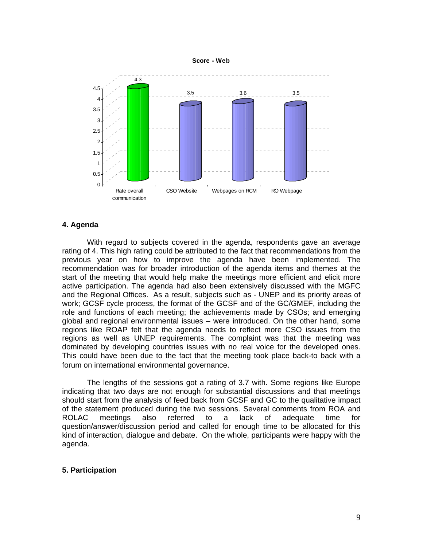



#### **4. Agenda**

With regard to subjects covered in the agenda, respondents gave an average rating of 4. This high rating could be attributed to the fact that recommendations from the previous year on how to improve the agenda have been implemented. The recommendation was for broader introduction of the agenda items and themes at the start of the meeting that would help make the meetings more efficient and elicit more active participation. The agenda had also been extensively discussed with the MGFC and the Regional Offices. As a result, subjects such as - UNEP and its priority areas of work; GCSF cycle process, the format of the GCSF and of the GC/GMEF, including the role and functions of each meeting; the achievements made by CSOs; and emerging global and regional environmental issues – were introduced. On the other hand, some regions like ROAP felt that the agenda needs to reflect more CSO issues from the regions as well as UNEP requirements. The complaint was that the meeting was dominated by developing countries issues with no real voice for the developed ones. This could have been due to the fact that the meeting took place back-to back with a forum on international environmental governance.

The lengths of the sessions got a rating of 3.7 with. Some regions like Europe indicating that two days are not enough for substantial discussions and that meetings should start from the analysis of feed back from GCSF and GC to the qualitative impact of the statement produced during the two sessions. Several comments from ROA and ROLAC meetings also referred to a lack of adequate time for question/answer/discussion period and called for enough time to be allocated for this kind of interaction, dialogue and debate. On the whole, participants were happy with the agenda.

#### **5. Participation**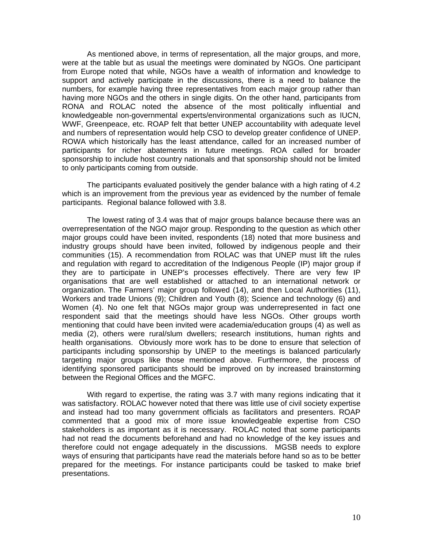As mentioned above, in terms of representation, all the major groups, and more, were at the table but as usual the meetings were dominated by NGOs. One participant from Europe noted that while, NGOs have a wealth of information and knowledge to support and actively participate in the discussions, there is a need to balance the numbers, for example having three representatives from each major group rather than having more NGOs and the others in single digits. On the other hand, participants from RONA and ROLAC noted the absence of the most politically influential and knowledgeable non-governmental experts/environmental organizations such as IUCN, WWF, Greenpeace, etc. ROAP felt that better UNEP accountability with adequate level and numbers of representation would help CSO to develop greater confidence of UNEP. ROWA which historically has the least attendance, called for an increased number of participants for richer abatements in future meetings. ROA called for broader sponsorship to include host country nationals and that sponsorship should not be limited to only participants coming from outside.

The participants evaluated positively the gender balance with a high rating of 4.2 which is an improvement from the previous year as evidenced by the number of female participants. Regional balance followed with 3.8.

The lowest rating of 3.4 was that of major groups balance because there was an overrepresentation of the NGO major group. Responding to the question as which other major groups could have been invited, respondents (18) noted that more business and industry groups should have been invited, followed by indigenous people and their communities (15). A recommendation from ROLAC was that UNEP must lift the rules and regulation with regard to accreditation of the Indigenous People (IP) major group if they are to participate in UNEP's processes effectively. There are very few IP organisations that are well established or attached to an international network or organization. The Farmers' major group followed (14), and then Local Authorities (11), Workers and trade Unions (9); Children and Youth (8); Science and technology (6) and Women (4). No one felt that NGOs major group was underrepresented in fact one respondent said that the meetings should have less NGOs. Other groups worth mentioning that could have been invited were academia/education groups (4) as well as media (2), others were rural/slum dwellers; research institutions, human rights and health organisations. Obviously more work has to be done to ensure that selection of participants including sponsorship by UNEP to the meetings is balanced particularly targeting major groups like those mentioned above. Furthermore, the process of identifying sponsored participants should be improved on by increased brainstorming between the Regional Offices and the MGFC.

With regard to expertise, the rating was 3.7 with many regions indicating that it was satisfactory. ROLAC however noted that there was little use of civil society expertise and instead had too many government officials as facilitators and presenters. ROAP commented that a good mix of more issue knowledgeable expertise from CSO stakeholders is as important as it is necessary. ROLAC noted that some participants had not read the documents beforehand and had no knowledge of the key issues and therefore could not engage adequately in the discussions. MGSB needs to explore ways of ensuring that participants have read the materials before hand so as to be better prepared for the meetings. For instance participants could be tasked to make brief presentations.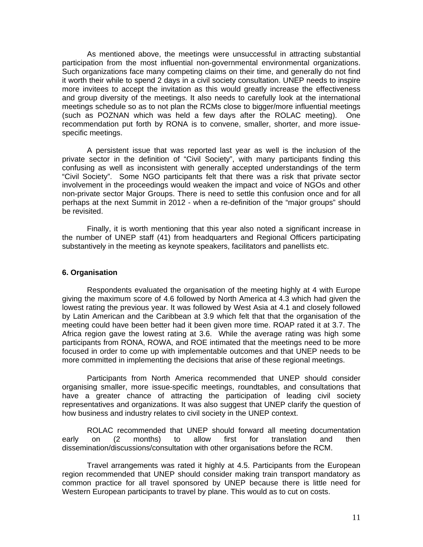As mentioned above, the meetings were unsuccessful in attracting substantial participation from the most influential non-governmental environmental organizations. Such organizations face many competing claims on their time, and generally do not find it worth their while to spend 2 days in a civil society consultation. UNEP needs to inspire more invitees to accept the invitation as this would greatly increase the effectiveness and group diversity of the meetings. It also needs to carefully look at the international meetings schedule so as to not plan the RCMs close to bigger/more influential meetings (such as POZNAN which was held a few days after the ROLAC meeting). One recommendation put forth by RONA is to convene, smaller, shorter, and more issuespecific meetings.

 A persistent issue that was reported last year as well is the inclusion of the private sector in the definition of "Civil Society", with many participants finding this confusing as well as inconsistent with generally accepted understandings of the term "Civil Society".Some NGO participants felt that there was a risk that private sector involvement in the proceedings would weaken the impact and voice of NGOs and other non-private sector Major Groups. There is need to settle this confusion once and for all perhaps at the next Summit in 2012 - when a re-definition of the "major groups" should be revisited.

Finally, it is worth mentioning that this year also noted a significant increase in the number of UNEP staff (41) from headquarters and Regional Officers participating substantively in the meeting as keynote speakers, facilitators and panellists etc.

#### **6. Organisation**

Respondents evaluated the organisation of the meeting highly at 4 with Europe giving the maximum score of 4.6 followed by North America at 4.3 which had given the lowest rating the previous year. It was followed by West Asia at 4.1 and closely followed by Latin American and the Caribbean at 3.9 which felt that that the organisation of the meeting could have been better had it been given more time. ROAP rated it at 3.7. The Africa region gave the lowest rating at 3.6. While the average rating was high some participants from RONA, ROWA, and ROE intimated that the meetings need to be more focused in order to come up with implementable outcomes and that UNEP needs to be more committed in implementing the decisions that arise of these regional meetings.

Participants from North America recommended that UNEP should consider organising smaller, more issue-specific meetings, roundtables, and consultations that have a greater chance of attracting the participation of leading civil society representatives and organizations. It was also suggest that UNEP clarify the question of how business and industry relates to civil society in the UNEP context.

ROLAC recommended that UNEP should forward all meeting documentation early on (2 months) to allow first for translation and then dissemination/discussions/consultation with other organisations before the RCM.

Travel arrangements was rated it highly at 4.5. Participants from the European region recommended that UNEP should consider making train transport mandatory as common practice for all travel sponsored by UNEP because there is little need for Western European participants to travel by plane. This would as to cut on costs.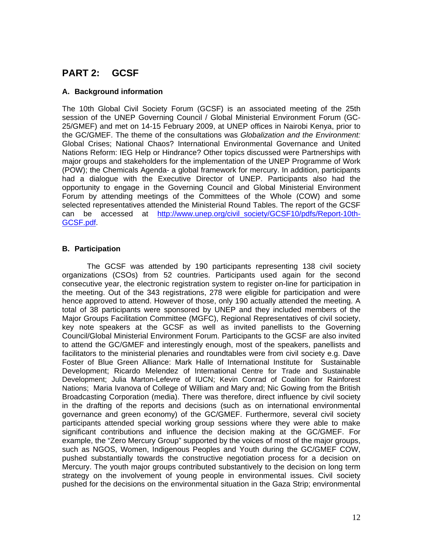# **PART 2: GCSF**

## **A. Background information**

The 10th Global Civil Society Forum (GCSF) is an associated meeting of the 25th session of the UNEP Governing Council / Global Ministerial Environment Forum (GC-25/GMEF) and met on 14-15 February 2009, at UNEP offices in Nairobi Kenya, prior to the GC/GMEF. The theme of the consultations was *Globalization and the Environment:* Global Crises; National Chaos? International Environmental Governance and United Nations Reform: IEG Help or Hindrance? Other topics discussed were Partnerships with major groups and stakeholders for the implementation of the UNEP Programme of Work (POW); the Chemicals Agenda- a global framework for mercury. In addition, participants had a dialogue with the Executive Director of UNEP. Participants also had the opportunity to engage in the Governing Council and Global Ministerial Environment Forum by attending meetings of the Committees of the Whole (COW) and some selected representatives attended the Ministerial Round Tables. The report of the GCSF can be accessed at http://www.unep.org/civil\_society/GCSF10/pdfs/Report-10th-GCSF.pdf.

# **B. Participation**

The GCSF was attended by 190 participants representing 138 civil society organizations (CSOs) from 52 countries. Participants used again for the second consecutive year, the electronic registration system to register on-line for participation in the meeting. Out of the 343 registrations, 278 were eligible for participation and were hence approved to attend. However of those, only 190 actually attended the meeting. A total of 38 participants were sponsored by UNEP and they included members of the Major Groups Facilitation Committee (MGFC), Regional Representatives of civil society, key note speakers at the GCSF as well as invited panellists to the Governing Council/Global Ministerial Environment Forum. Participants to the GCSF are also invited to attend the GC/GMEF and interestingly enough, most of the speakers, panellists and facilitators to the ministerial plenaries and roundtables were from civil society e.g. Dave Foster of Blue Green Alliance: Mark Halle of International Institute for Sustainable Development; Ricardo Melendez of International Centre for Trade and Sustainable Development; Julia Marton-Lefevre of IUCN; Kevin Conrad of Coalition for Rainforest Nations; Maria Ivanova of College of William and Mary and; Nic Gowing from the British Broadcasting Corporation (media). There was therefore, direct influence by civil society in the drafting of the reports and decisions (such as on international environmental governance and green economy) of the GC/GMEF. Furthermore, several civil society participants attended special working group sessions where they were able to make significant contributions and influence the decision making at the GC/GMEF. For example, the "Zero Mercury Group" supported by the voices of most of the major groups, such as NGOS, Women, Indigenous Peoples and Youth during the GC/GMEF COW, pushed substantially towards the constructive negotiation process for a decision on Mercury. The youth major groups contributed substantively to the decision on long term strategy on the involvement of young people in environmental issues. Civil society pushed for the decisions on the environmental situation in the Gaza Strip; environmental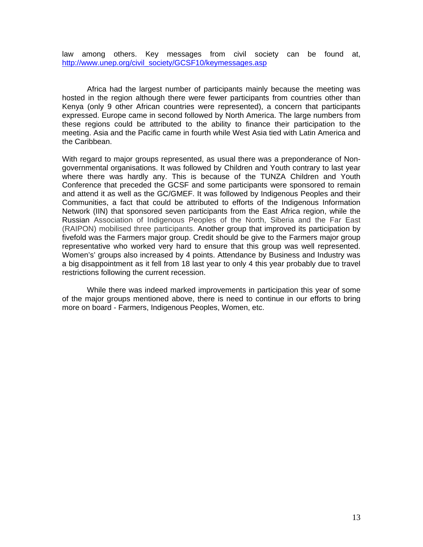law among others. Key messages from civil society can be found at, http://www.unep.org/civil\_society/GCSF10/keymessages.asp

Africa had the largest number of participants mainly because the meeting was hosted in the region although there were fewer participants from countries other than Kenya (only 9 other African countries were represented), a concern that participants expressed. Europe came in second followed by North America. The large numbers from these regions could be attributed to the ability to finance their participation to the meeting. Asia and the Pacific came in fourth while West Asia tied with Latin America and the Caribbean.

With regard to major groups represented, as usual there was a preponderance of Nongovernmental organisations. It was followed by Children and Youth contrary to last year where there was hardly any. This is because of the TUNZA Children and Youth Conference that preceded the GCSF and some participants were sponsored to remain and attend it as well as the GC/GMEF. It was followed by Indigenous Peoples and their Communities, a fact that could be attributed to efforts of the Indigenous Information Network (IIN) that sponsored seven participants from the East Africa region, while the Russian Association of Indigenous Peoples of the North, Siberia and the Far East (RAIPON) mobilised three participants. Another group that improved its participation by fivefold was the Farmers major group. Credit should be give to the Farmers major group representative who worked very hard to ensure that this group was well represented. Women's' groups also increased by 4 points. Attendance by Business and Industry was a big disappointment as it fell from 18 last year to only 4 this year probably due to travel restrictions following the current recession.

While there was indeed marked improvements in participation this year of some of the major groups mentioned above, there is need to continue in our efforts to bring more on board - Farmers, Indigenous Peoples, Women, etc.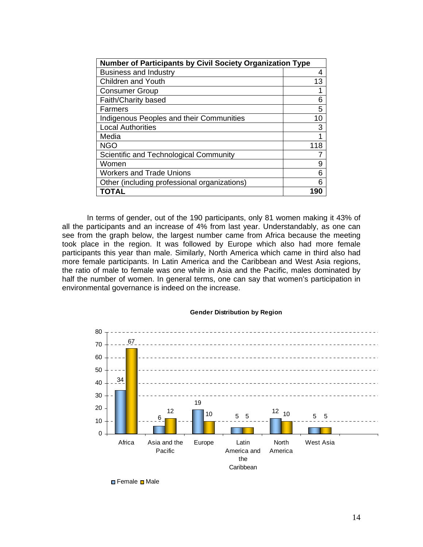| <b>Number of Participants by Civil Society Organization Type</b> |     |
|------------------------------------------------------------------|-----|
| <b>Business and Industry</b>                                     | 4   |
| <b>Children and Youth</b>                                        | 13  |
| <b>Consumer Group</b>                                            |     |
| Faith/Charity based                                              | 6   |
| Farmers                                                          | 5   |
| Indigenous Peoples and their Communities                         | 10  |
| <b>Local Authorities</b>                                         | 3   |
| Media                                                            |     |
| <b>NGO</b>                                                       | 118 |
| Scientific and Technological Community                           |     |
| Women                                                            | 9   |
| <b>Workers and Trade Unions</b>                                  | 6   |
| Other (including professional organizations)                     | 6   |
| TOTAL                                                            | 190 |

In terms of gender, out of the 190 participants, only 81 women making it 43% of all the participants and an increase of 4% from last year. Understandably, as one can see from the graph below, the largest number came from Africa because the meeting took place in the region. It was followed by Europe which also had more female participants this year than male. Similarly, North America which came in third also had more female participants. In Latin America and the Caribbean and West Asia regions, the ratio of male to female was one while in Asia and the Pacific, males dominated by half the number of women. In general terms, one can say that women's participation in environmental governance is indeed on the increase.



#### **Gender Distribution by Region**

**□ Female □ Male**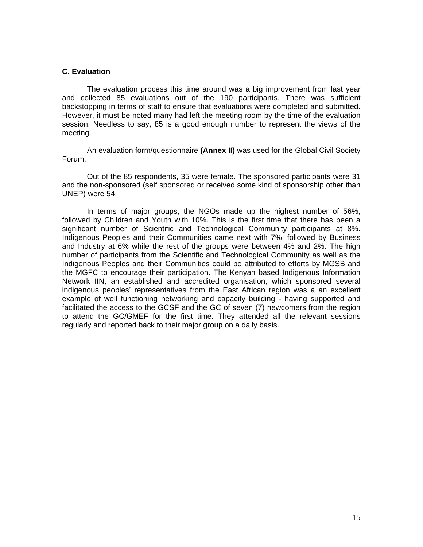#### **C. Evaluation**

The evaluation process this time around was a big improvement from last year and collected 85 evaluations out of the 190 participants. There was sufficient backstopping in terms of staff to ensure that evaluations were completed and submitted. However, it must be noted many had left the meeting room by the time of the evaluation session. Needless to say, 85 is a good enough number to represent the views of the meeting.

An evaluation form/questionnaire **(Annex II)** was used for the Global Civil Society Forum.

Out of the 85 respondents, 35 were female. The sponsored participants were 31 and the non-sponsored (self sponsored or received some kind of sponsorship other than UNEP) were 54.

In terms of major groups, the NGOs made up the highest number of 56%, followed by Children and Youth with 10%. This is the first time that there has been a significant number of Scientific and Technological Community participants at 8%. Indigenous Peoples and their Communities came next with 7%, followed by Business and Industry at 6% while the rest of the groups were between 4% and 2%. The high number of participants from the Scientific and Technological Community as well as the Indigenous Peoples and their Communities could be attributed to efforts by MGSB and the MGFC to encourage their participation. The Kenyan based Indigenous Information Network IIN, an established and accredited organisation, which sponsored several indigenous peoples' representatives from the East African region was a an excellent example of well functioning networking and capacity building - having supported and facilitated the access to the GCSF and the GC of seven (7) newcomers from the region to attend the GC/GMEF for the first time. They attended all the relevant sessions regularly and reported back to their major group on a daily basis.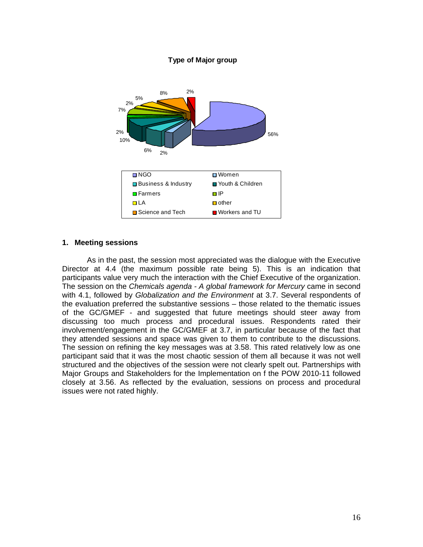#### **Type of Major group**



#### **1. Meeting sessions**

As in the past, the session most appreciated was the dialogue with the Executive Director at 4.4 (the maximum possible rate being 5). This is an indication that participants value very much the interaction with the Chief Executive of the organization. The session on the *Chemicals agenda - A global framework for Mercury* came in second with 4.1, followed by *Globalization and the Environment* at 3.7. Several respondents of the evaluation preferred the substantive sessions – those related to the thematic issues of the GC/GMEF - and suggested that future meetings should steer away from discussing too much process and procedural issues. Respondents rated their involvement/engagement in the GC/GMEF at 3.7, in particular because of the fact that they attended sessions and space was given to them to contribute to the discussions. The session on refining the key messages was at 3.58. This rated relatively low as one participant said that it was the most chaotic session of them all because it was not well structured and the objectives of the session were not clearly spelt out. Partnerships with Major Groups and Stakeholders for the Implementation on f the POW 2010-11 followed closely at 3.56. As reflected by the evaluation, sessions on process and procedural issues were not rated highly.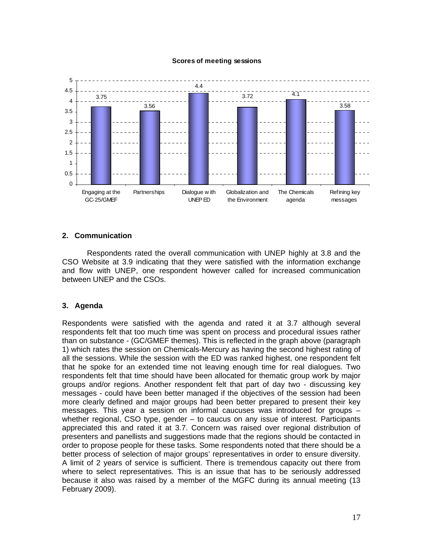#### **Scores of meeting sessions**



#### **2. Communication**

Respondents rated the overall communication with UNEP highly at 3.8 and the CSO Website at 3.9 indicating that they were satisfied with the information exchange and flow with UNEP, one respondent however called for increased communication between UNEP and the CSOs.

#### **3. Agenda**

Respondents were satisfied with the agenda and rated it at 3.7 although several respondents felt that too much time was spent on process and procedural issues rather than on substance - (GC/GMEF themes). This is reflected in the graph above (paragraph 1) which rates the session on Chemicals-Mercury as having the second highest rating of all the sessions. While the session with the ED was ranked highest, one respondent felt that he spoke for an extended time not leaving enough time for real dialogues. Two respondents felt that time should have been allocated for thematic group work by major groups and/or regions. Another respondent felt that part of day two - discussing key messages - could have been better managed if the objectives of the session had been more clearly defined and major groups had been better prepared to present their key messages. This year a session on informal caucuses was introduced for groups – whether regional, CSO type, gender – to caucus on any issue of interest. Participants appreciated this and rated it at 3.7. Concern was raised over regional distribution of presenters and panellists and suggestions made that the regions should be contacted in order to propose people for these tasks. Some respondents noted that there should be a better process of selection of major groups' representatives in order to ensure diversity. A limit of 2 years of service is sufficient. There is tremendous capacity out there from where to select representatives. This is an issue that has to be seriously addressed because it also was raised by a member of the MGFC during its annual meeting (13 February 2009).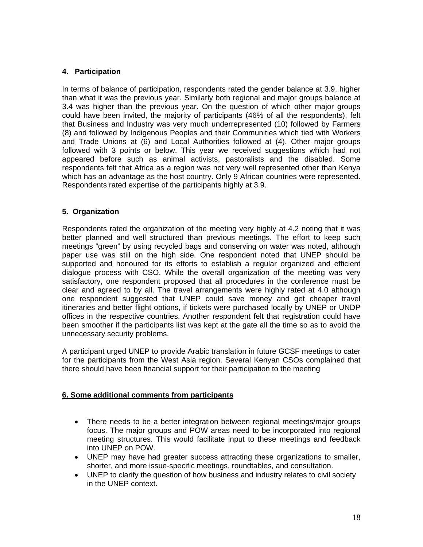# **4. Participation**

In terms of balance of participation, respondents rated the gender balance at 3.9, higher than what it was the previous year. Similarly both regional and major groups balance at 3.4 was higher than the previous year. On the question of which other major groups could have been invited, the majority of participants (46% of all the respondents), felt that Business and Industry was very much underrepresented (10) followed by Farmers (8) and followed by Indigenous Peoples and their Communities which tied with Workers and Trade Unions at (6) and Local Authorities followed at (4). Other major groups followed with 3 points or below. This year we received suggestions which had not appeared before such as animal activists, pastoralists and the disabled. Some respondents felt that Africa as a region was not very well represented other than Kenya which has an advantage as the host country. Only 9 African countries were represented. Respondents rated expertise of the participants highly at 3.9.

## **5. Organization**

Respondents rated the organization of the meeting very highly at 4.2 noting that it was better planned and well structured than previous meetings. The effort to keep such meetings "green" by using recycled bags and conserving on water was noted, although paper use was still on the high side. One respondent noted that UNEP should be supported and honoured for its efforts to establish a regular organized and efficient dialogue process with CSO. While the overall organization of the meeting was very satisfactory, one respondent proposed that all procedures in the conference must be clear and agreed to by all. The travel arrangements were highly rated at 4.0 although one respondent suggested that UNEP could save money and get cheaper travel itineraries and better flight options, if tickets were purchased locally by UNEP or UNDP offices in the respective countries. Another respondent felt that registration could have been smoother if the participants list was kept at the gate all the time so as to avoid the unnecessary security problems.

A participant urged UNEP to provide Arabic translation in future GCSF meetings to cater for the participants from the West Asia region. Several Kenyan CSOs complained that there should have been financial support for their participation to the meeting

## **6. Some additional comments from participants**

- There needs to be a better integration between regional meetings/major groups focus. The major groups and POW areas need to be incorporated into regional meeting structures. This would facilitate input to these meetings and feedback into UNEP on POW.
- UNEP may have had greater success attracting these organizations to smaller, shorter, and more issue-specific meetings, roundtables, and consultation.
- UNEP to clarify the question of how business and industry relates to civil society in the UNEP context.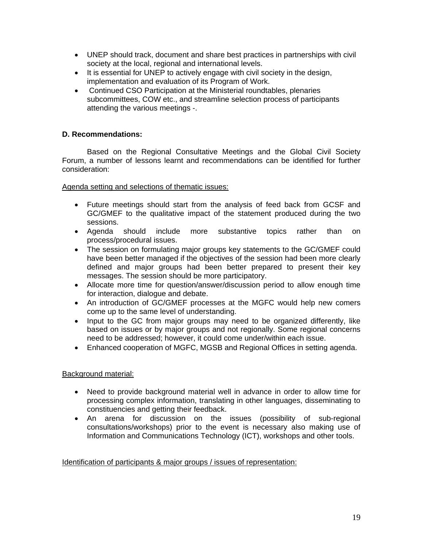- UNEP should track, document and share best practices in partnerships with civil society at the local, regional and international levels.
- It is essential for UNEP to actively engage with civil society in the design, implementation and evaluation of its Program of Work.
- Continued CSO Participation at the Ministerial roundtables, plenaries subcommittees, COW etc., and streamline selection process of participants attending the various meetings -.

# **D. Recommendations:**

Based on the Regional Consultative Meetings and the Global Civil Society Forum, a number of lessons learnt and recommendations can be identified for further consideration:

#### Agenda setting and selections of thematic issues:

- Future meetings should start from the analysis of feed back from GCSF and GC/GMEF to the qualitative impact of the statement produced during the two sessions.
- Agenda should include more substantive topics rather than on process/procedural issues.
- The session on formulating major groups key statements to the GC/GMEF could have been better managed if the objectives of the session had been more clearly defined and major groups had been better prepared to present their key messages. The session should be more participatory.
- Allocate more time for question/answer/discussion period to allow enough time for interaction, dialogue and debate.
- An introduction of GC/GMEF processes at the MGFC would help new comers come up to the same level of understanding.
- Input to the GC from major groups may need to be organized differently, like based on issues or by major groups and not regionally. Some regional concerns need to be addressed; however, it could come under/within each issue.
- Enhanced cooperation of MGFC, MGSB and Regional Offices in setting agenda.

## Background material:

- Need to provide background material well in advance in order to allow time for processing complex information, translating in other languages, disseminating to constituencies and getting their feedback.
- An arena for discussion on the issues (possibility of sub-regional consultations/workshops) prior to the event is necessary also making use of Information and Communications Technology (ICT), workshops and other tools.

## Identification of participants & major groups / issues of representation: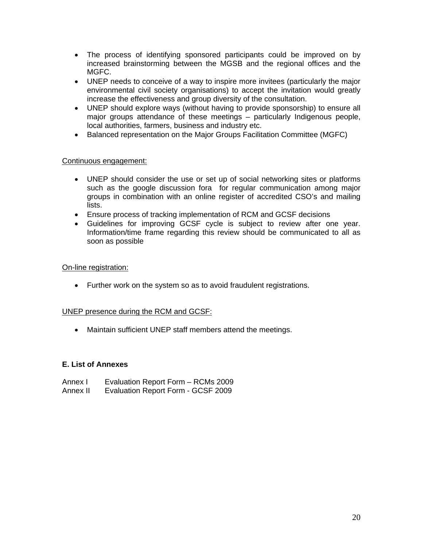- The process of identifying sponsored participants could be improved on by increased brainstorming between the MGSB and the regional offices and the MGFC.
- UNEP needs to conceive of a way to inspire more invitees (particularly the major environmental civil society organisations) to accept the invitation would greatly increase the effectiveness and group diversity of the consultation.
- UNEP should explore ways (without having to provide sponsorship) to ensure all major groups attendance of these meetings – particularly Indigenous people, local authorities, farmers, business and industry etc.
- Balanced representation on the Major Groups Facilitation Committee (MGFC)

## Continuous engagement:

- UNEP should consider the use or set up of social networking sites or platforms such as the google discussion fora for regular communication among major groups in combination with an online register of accredited CSO's and mailing lists.
- Ensure process of tracking implementation of RCM and GCSF decisions
- Guidelines for improving GCSF cycle is subject to review after one year. Information/time frame regarding this review should be communicated to all as soon as possible

## On-line registration:

• Further work on the system so as to avoid fraudulent registrations.

## UNEP presence during the RCM and GCSF:

• Maintain sufficient UNEP staff members attend the meetings.

## **E. List of Annexes**

Annex I Evaluation Report Form – RCMs 2009 Annex II Evaluation Report Form - GCSF 2009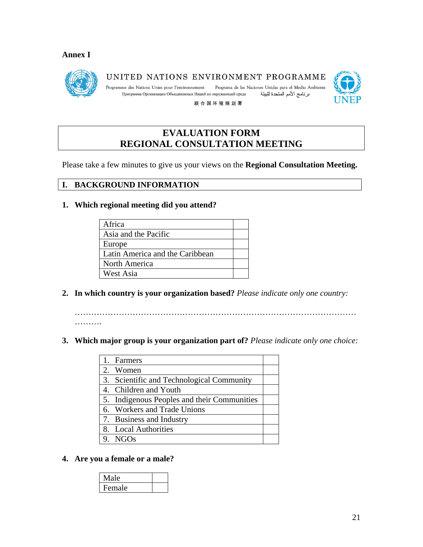# **Annex I**



UNITED NATIONS ENVIRONMENT PROGRAMME

Programa de las Naciones Unidas para el Medio Ambiente Programme des Nations Unies pour l'environnement Программа Организации Объединенных Наций по окружающей среде برنامج الأمم المتحدة للبيئة



联合国环境规划署

# **EVALUATION FORM REGIONAL CONSULTATION MEETING**

Please take a few minutes to give us your views on the **Regional Consultation Meeting.** 

# **I. BACKGROUND INFORMATION**

## **1. Which regional meeting did you attend?**

| Africa                          |  |
|---------------------------------|--|
| Asia and the Pacific            |  |
| Europe                          |  |
| Latin America and the Caribbean |  |
| North America                   |  |
| West Asia                       |  |

**2. In which country is your organization based?** *Please indicate only one country:*

…………………………………………………………………………………………

- ……….
- **3. Which major group is your organization part of?** *Please indicate only one choice:*

| 1. Farmers                                  |  |
|---------------------------------------------|--|
| 2. Women                                    |  |
| 3. Scientific and Technological Community   |  |
| 4. Children and Youth                       |  |
| 5. Indigenous Peoples and their Communities |  |
| 6. Workers and Trade Unions                 |  |
| 7. Business and Industry                    |  |
| 8. Local Authorities                        |  |
| NGOs                                        |  |
|                                             |  |

# **4. Are you a female or a male?**

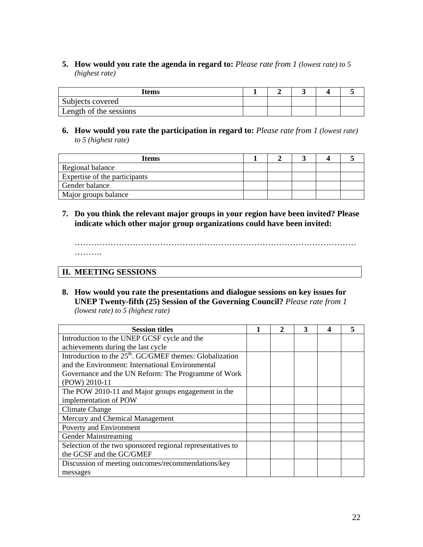**5. How would you rate the agenda in regard to:** *Please rate from 1 (lowest rate) to 5 (highest rate)*

| Items                  |  |  |  |
|------------------------|--|--|--|
| Subjects covered       |  |  |  |
| Length of the sessions |  |  |  |

**6. How would you rate the participation in regard to:** *Please rate from 1 (lowest rate) to 5 (highest rate)*

| Items                         |  |  |  |
|-------------------------------|--|--|--|
| Regional balance              |  |  |  |
| Expertise of the participants |  |  |  |
| Gender balance                |  |  |  |
| Major groups balance          |  |  |  |

**7. Do you think the relevant major groups in your region have been invited? Please indicate which other major group organizations could have been invited:** 

…………………………………………………………………………………………

……….

# **II. MEETING SESSIONS**

**8. How would you rate the presentations and dialogue sessions on key issues for UNEP Twenty-fifth (25) Session of the Governing Council?** *Please rate from 1 (lowest rate) to 5 (highest rate)*

| <b>Session titles</b>                                      | 2 | 3 |  |
|------------------------------------------------------------|---|---|--|
| Introduction to the UNEP GCSF cycle and the                |   |   |  |
| achievements during the last cycle                         |   |   |  |
| Introduction to the $25th$ . GC/GMEF themes: Globalization |   |   |  |
| and the Environment: International Environmental           |   |   |  |
| Governance and the UN Reform: The Programme of Work        |   |   |  |
| (POW) 2010-11                                              |   |   |  |
| The POW 2010-11 and Major groups engagement in the         |   |   |  |
| implementation of POW                                      |   |   |  |
| Climate Change                                             |   |   |  |
| Mercury and Chemical Management                            |   |   |  |
| Poverty and Environment                                    |   |   |  |
| <b>Gender Mainstreaming</b>                                |   |   |  |
| Selection of the two sponsored regional representatives to |   |   |  |
| the GCSF and the GC/GMEF                                   |   |   |  |
| Discussion of meeting outcomes/recommendations/key         |   |   |  |
| messages                                                   |   |   |  |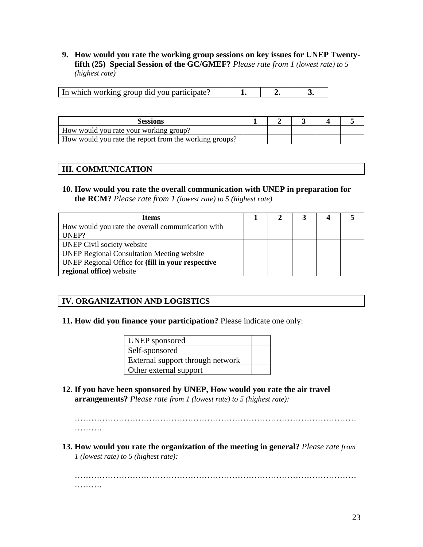**9. How would you rate the working group sessions on key issues for UNEP Twentyfifth (25) Special Session of the GC/GMEF?** *Please rate from 1 (lowest rate) to 5 (highest rate)*

| In which working group did you participate? |  |  |  |
|---------------------------------------------|--|--|--|
|---------------------------------------------|--|--|--|

| Sessions                                               |  |  |  |
|--------------------------------------------------------|--|--|--|
| How would you rate your working group?                 |  |  |  |
| How would you rate the report from the working groups? |  |  |  |

# **III. COMMUNICATION**

**10. How would you rate the overall communication with UNEP in preparation for the RCM?** *Please rate from 1 (lowest rate) to 5 (highest rate)*

| <b>Items</b>                                      |  |  |  |
|---------------------------------------------------|--|--|--|
| How would you rate the overall communication with |  |  |  |
| UNEP?                                             |  |  |  |
| UNEP Civil society website                        |  |  |  |
| <b>UNEP Regional Consultation Meeting website</b> |  |  |  |
| UNEP Regional Office for (fill in your respective |  |  |  |
| regional office) website                          |  |  |  |

# **IV. ORGANIZATION AND LOGISTICS**

## **11. How did you finance your participation?** Please indicate one only:

| UNEP sponsored                   |  |
|----------------------------------|--|
| Self-sponsored                   |  |
| External support through network |  |
| Other external support           |  |

**12. If you have been sponsored by UNEP, How would you rate the air travel arrangements?** *Please rate from 1 (lowest rate) to 5 (highest rate):*

………………………………………………………………………………………… . . . . . . . . .

**13. How would you rate the organization of the meeting in general?** *Please rate from 1 (lowest rate) to 5 (highest rate):*

………………………………………………………………………………………… ……….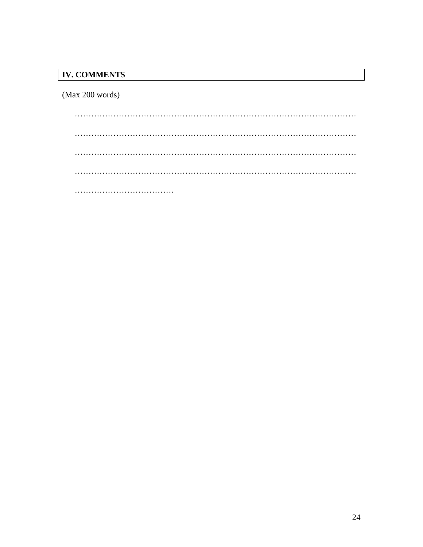# **IV. COMMENTS**

 $(Max 200 words)$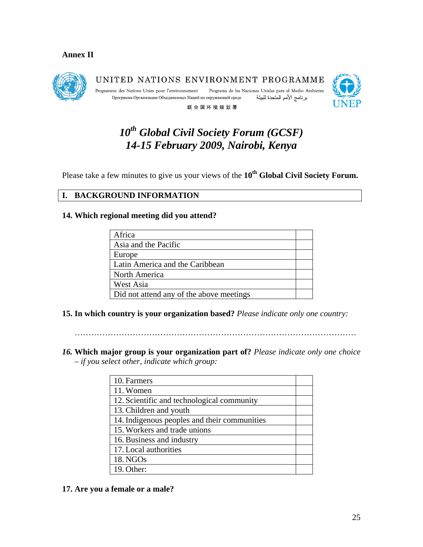## **Annex II**



UNITED NATIONS ENVIRONMENT PROGRAMME Programme des Nations Unies pour l'environnement Programa de las Naciones Unidas para el Medio Ambiente Программа Организации Объединенных Наций по окружающей среде برنامج الأمم المتحدة للبيئة

联合国环境规划署



# *10th Global Civil Society Forum (GCSF) 14-15 February 2009, Nairobi, Kenya*

Please take a few minutes to give us your views of the 10<sup>th</sup> Global Civil Society Forum.

# **I. BACKGROUND INFORMATION**

## **14. Which regional meeting did you attend?**

| Africa                                   |  |
|------------------------------------------|--|
| Asia and the Pacific                     |  |
| Europe                                   |  |
| Latin America and the Caribbean          |  |
| North America                            |  |
| West Asia                                |  |
| Did not attend any of the above meetings |  |

**15. In which country is your organization based?** *Please indicate only one country:*

*16.* **Which major group is your organization part of?** *Please indicate only one choice – if you select other, indicate which group:*

| 10. Farmers                                  |  |
|----------------------------------------------|--|
| 11. Women                                    |  |
| 12. Scientific and technological community   |  |
| 13. Children and youth                       |  |
| 14. Indigenous peoples and their communities |  |
| 15. Workers and trade unions                 |  |
| 16. Business and industry                    |  |
| 17. Local authorities                        |  |
| 18. NGOs                                     |  |
| 19. Other:                                   |  |

## **17. Are you a female or a male?**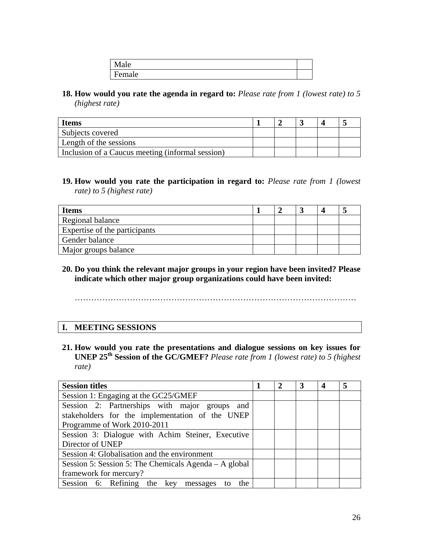| rale<br>∸   |  |
|-------------|--|
| п<br>Female |  |

**18. How would you rate the agenda in regard to:** *Please rate from 1 (lowest rate) to 5 (highest rate)*

| <b>Items</b>                                     |  |  |  |
|--------------------------------------------------|--|--|--|
| Subjects covered                                 |  |  |  |
| Length of the sessions                           |  |  |  |
| Inclusion of a Caucus meeting (informal session) |  |  |  |

**19. How would you rate the participation in regard to:** *Please rate from 1 (lowest rate) to 5 (highest rate)*

| <b>Items</b>                  |  |  |  |
|-------------------------------|--|--|--|
| Regional balance              |  |  |  |
| Expertise of the participants |  |  |  |
| Gender balance                |  |  |  |
| Major groups balance          |  |  |  |

**20. Do you think the relevant major groups in your region have been invited? Please indicate which other major group organizations could have been invited:** 

…………………………………………………………………………………………

## **I. MEETING SESSIONS**

**21. How would you rate the presentations and dialogue sessions on key issues for UNEP 25th Session of the GC/GMEF?** *Please rate from 1 (lowest rate) to 5 (highest rate)*

| <b>Session titles</b>                                                                            |  | 3 |  |
|--------------------------------------------------------------------------------------------------|--|---|--|
| Session 1: Engaging at the GC25/GMEF                                                             |  |   |  |
| Session 2: Partnerships with major groups and<br>stakeholders for the implementation of the UNEP |  |   |  |
| Programme of Work 2010-2011                                                                      |  |   |  |
| Session 3: Dialogue with Achim Steiner, Executive                                                |  |   |  |
| Director of UNEP                                                                                 |  |   |  |
| Session 4: Globalisation and the environment                                                     |  |   |  |
| Session 5: Session 5: The Chemicals Agenda $-A$ global                                           |  |   |  |
| framework for mercury?                                                                           |  |   |  |
| Session 6: Refining the key messages<br>the<br>to                                                |  |   |  |